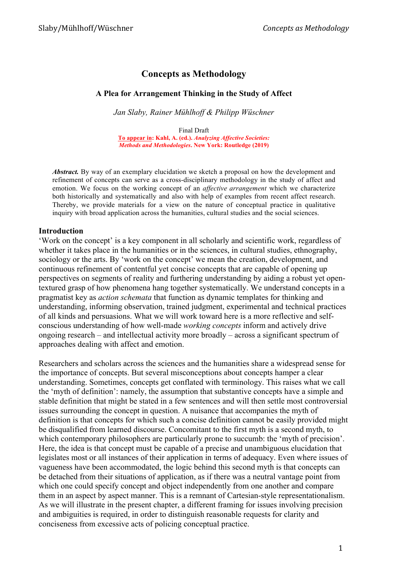# **Concepts as Methodology**

## **A Plea for Arrangement Thinking in the Study of Affect**

*Jan Slaby, Rainer Mühlhoff & Philipp Wüschner*

Final Draft **To appear in: Kahl, A. (ed.).** *Analyzing Affective Societies: Methods and Methodologies***. New York: Routledge (2019)**

*Abstract.* By way of an exemplary elucidation we sketch a proposal on how the development and refinement of concepts can serve as a cross-disciplinary methodology in the study of affect and emotion. We focus on the working concept of an *affective arrangement* which we characterize both historically and systematically and also with help of examples from recent affect research. Thereby, we provide materials for a view on the nature of conceptual practice in qualitative inquiry with broad application across the humanities, cultural studies and the social sciences.

#### **Introduction**

'Work on the concept' is a key component in all scholarly and scientific work, regardless of whether it takes place in the humanities or in the sciences, in cultural studies, ethnography, sociology or the arts. By 'work on the concept' we mean the creation, development, and continuous refinement of contentful yet concise concepts that are capable of opening up perspectives on segments of reality and furthering understanding by aiding a robust yet opentextured grasp of how phenomena hang together systematically. We understand concepts in a pragmatist key as *action schemata* that function as dynamic templates for thinking and understanding, informing observation, trained judgment, experimental and technical practices of all kinds and persuasions. What we will work toward here is a more reflective and selfconscious understanding of how well-made *working concepts* inform and actively drive ongoing research – and intellectual activity more broadly – across a significant spectrum of approaches dealing with affect and emotion.

Researchers and scholars across the sciences and the humanities share a widespread sense for the importance of concepts. But several misconceptions about concepts hamper a clear understanding. Sometimes, concepts get conflated with terminology. This raises what we call the 'myth of definition': namely, the assumption that substantive concepts have a simple and stable definition that might be stated in a few sentences and will then settle most controversial issues surrounding the concept in question. A nuisance that accompanies the myth of definition is that concepts for which such a concise definition cannot be easily provided might be disqualified from learned discourse. Concomitant to the first myth is a second myth, to which contemporary philosophers are particularly prone to succumb: the 'myth of precision'. Here, the idea is that concept must be capable of a precise and unambiguous elucidation that legislates most or all instances of their application in terms of adequacy. Even where issues of vagueness have been accommodated, the logic behind this second myth is that concepts can be detached from their situations of application, as if there was a neutral vantage point from which one could specify concept and object independently from one another and compare them in an aspect by aspect manner. This is a remnant of Cartesian-style representationalism. As we will illustrate in the present chapter, a different framing for issues involving precision and ambiguities is required, in order to distinguish reasonable requests for clarity and conciseness from excessive acts of policing conceptual practice.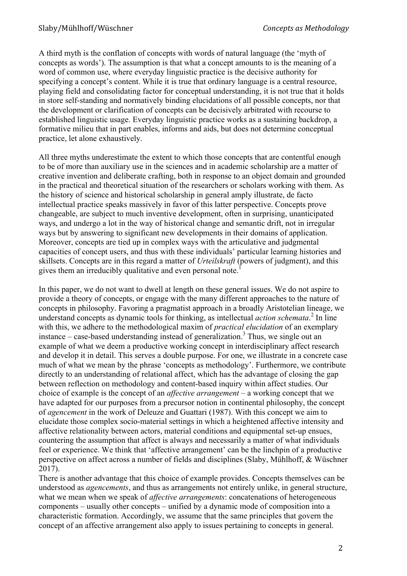A third myth is the conflation of concepts with words of natural language (the 'myth of concepts as words'). The assumption is that what a concept amounts to is the meaning of a word of common use, where everyday linguistic practice is the decisive authority for specifying a concept's content. While it is true that ordinary language is a central resource, playing field and consolidating factor for conceptual understanding, it is not true that it holds in store self-standing and normatively binding elucidations of all possible concepts, nor that the development or clarification of concepts can be decisively arbitrated with recourse to established linguistic usage. Everyday linguistic practice works as a sustaining backdrop, a formative milieu that in part enables, informs and aids, but does not determine conceptual practice, let alone exhaustively.

All three myths underestimate the extent to which those concepts that are contentful enough to be of more than auxiliary use in the sciences and in academic scholarship are a matter of creative invention and deliberate crafting, both in response to an object domain and grounded in the practical and theoretical situation of the researchers or scholars working with them. As the history of science and historical scholarship in general amply illustrate, de facto intellectual practice speaks massively in favor of this latter perspective. Concepts prove changeable, are subject to much inventive development, often in surprising, unanticipated ways, and undergo a lot in the way of historical change and semantic drift, not in irregular ways but by answering to significant new developments in their domains of application. Moreover, concepts are tied up in complex ways with the articulative and judgmental capacities of concept users, and thus with these individuals' particular learning histories and skillsets. Concepts are in this regard a matter of *Urteilskraft* (powers of judgment), and this gives them an irreducibly qualitative and even personal note.<sup>1</sup>

In this paper, we do not want to dwell at length on these general issues. We do not aspire to provide a theory of concepts, or engage with the many different approaches to the nature of concepts in philosophy. Favoring a pragmatist approach in a broadly Aristotelian lineage, we understand concepts as dynamic tools for thinking, as intellectual *action schemata*. <sup>2</sup> In line with this, we adhere to the methodological maxim of *practical elucidation* of an exemplary instance – case-based understanding instead of generalization.<sup>3</sup> Thus, we single out an example of what we deem a productive working concept in interdisciplinary affect research and develop it in detail. This serves a double purpose. For one, we illustrate in a concrete case much of what we mean by the phrase 'concepts as methodology'. Furthermore, we contribute directly to an understanding of relational affect, which has the advantage of closing the gap between reflection on methodology and content-based inquiry within affect studies. Our choice of example is the concept of an *affective arrangement* – a working concept that we have adapted for our purposes from a precursor notion in continental philosophy, the concept of *agencement* in the work of Deleuze and Guattari (1987). With this concept we aim to elucidate those complex socio-material settings in which a heightened affective intensity and affective relationality between actors, material conditions and equipmental set-up ensues, countering the assumption that affect is always and necessarily a matter of what individuals feel or experience. We think that 'affective arrangement' can be the linchpin of a productive perspective on affect across a number of fields and disciplines (Slaby, Mühlhoff, & Wüschner 2017).

There is another advantage that this choice of example provides. Concepts themselves can be understood as *agencements*, and thus as arrangements not entirely unlike, in general structure, what we mean when we speak of *affective arrangements*: concatenations of heterogeneous components – usually other concepts – unified by a dynamic mode of composition into a characteristic formation. Accordingly, we assume that the same principles that govern the concept of an affective arrangement also apply to issues pertaining to concepts in general.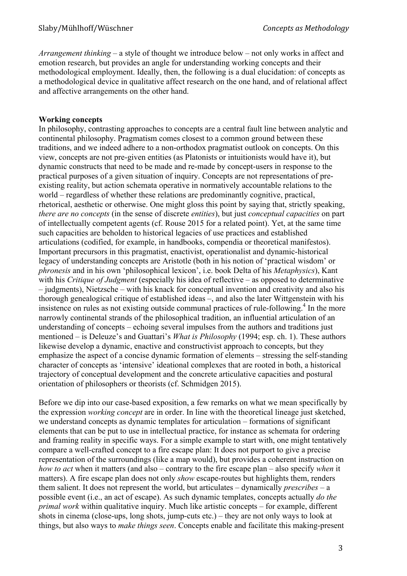*Arrangement thinking* – a style of thought we introduce below – not only works in affect and emotion research, but provides an angle for understanding working concepts and their methodological employment. Ideally, then, the following is a dual elucidation: of concepts as a methodological device in qualitative affect research on the one hand, and of relational affect and affective arrangements on the other hand.

## **Working concepts**

In philosophy, contrasting approaches to concepts are a central fault line between analytic and continental philosophy. Pragmatism comes closest to a common ground between these traditions, and we indeed adhere to a non-orthodox pragmatist outlook on concepts. On this view, concepts are not pre-given entities (as Platonists or intuitionists would have it), but dynamic constructs that need to be made and re-made by concept-users in response to the practical purposes of a given situation of inquiry. Concepts are not representations of preexisting reality, but action schemata operative in normatively accountable relations to the world – regardless of whether these relations are predominantly cognitive, practical, rhetorical, aesthetic or otherwise. One might gloss this point by saying that, strictly speaking, *there are no concepts* (in the sense of discrete *entities*), but just *conceptual capacities* on part of intellectually competent agents (cf. Rouse 2015 for a related point). Yet, at the same time such capacities are beholden to historical legacies of use practices and established articulations (codified, for example, in handbooks, compendia or theoretical manifestos). Important precursors in this pragmatist, enactivist, operationalist and dynamic-historical legacy of understanding concepts are Aristotle (both in his notion of 'practical wisdom' or *phronesis* and in his own 'philosophical lexicon', i.e. book Delta of his *Metaphysics*), Kant with his *Critique of Judgment* (especially his idea of reflective – as opposed to determinative – judgments), Nietzsche – with his knack for conceptual invention and creativity and also his thorough genealogical critique of established ideas –, and also the later Wittgenstein with his insistence on rules as not existing outside communal practices of rule-following.<sup>4</sup> In the more narrowly continental strands of the philosophical tradition, an influential articulation of an understanding of concepts – echoing several impulses from the authors and traditions just mentioned – is Deleuze's and Guattari's *What is Philosophy* (1994; esp. ch. 1). These authors likewise develop a dynamic, enactive and constructivist approach to concepts, but they emphasize the aspect of a concise dynamic formation of elements – stressing the self-standing character of concepts as 'intensive' ideational complexes that are rooted in both, a historical trajectory of conceptual development and the concrete articulative capacities and postural orientation of philosophers or theorists (cf. Schmidgen 2015).

Before we dip into our case-based exposition, a few remarks on what we mean specifically by the expression *working concept* are in order. In line with the theoretical lineage just sketched, we understand concepts as dynamic templates for articulation – formations of significant elements that can be put to use in intellectual practice, for instance as schemata for ordering and framing reality in specific ways. For a simple example to start with, one might tentatively compare a well-crafted concept to a fire escape plan: It does not purport to give a precise representation of the surroundings (like a map would), but provides a coherent instruction on *how to act* when it matters (and also – contrary to the fire escape plan – also specify *when* it matters). A fire escape plan does not only *show* escape-routes but highlights them, renders them salient. It does not represent the world, but articulates – dynamically *prescribes* – a possible event (i.e., an act of escape). As such dynamic templates, concepts actually *do the primal work* within qualitative inquiry. Much like artistic concepts – for example, different shots in cinema (close-ups, long shots, jump-cuts etc.) – they are not only ways to look at things, but also ways to *make things seen*. Concepts enable and facilitate this making-present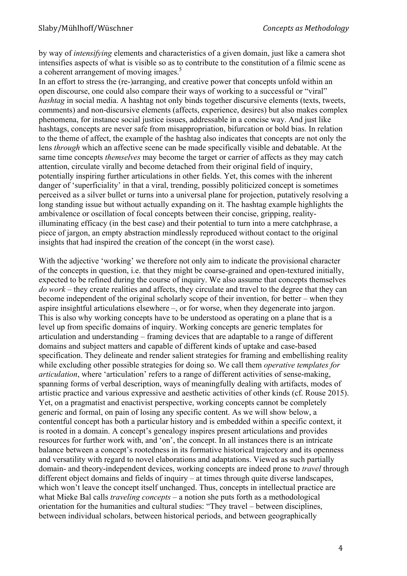by way of *intensifying* elements and characteristics of a given domain, just like a camera shot intensifies aspects of what is visible so as to contribute to the constitution of a filmic scene as a coherent arrangement of moving images.<sup>5</sup>

In an effort to stress the (re-)arranging, and creative power that concepts unfold within an open discourse, one could also compare their ways of working to a successful or "viral" *hashtag* in social media. A hashtag not only binds together discursive elements (texts, tweets, comments) and non-discursive elements (affects, experience, desires) but also makes complex phenomena, for instance social justice issues, addressable in a concise way. And just like hashtags, concepts are never safe from misappropriation, bifurcation or bold bias. In relation to the theme of affect, the example of the hashtag also indicates that concepts are not only the lens *through* which an affective scene can be made specifically visible and debatable. At the same time concepts *themselves* may become the target or carrier of affects as they may catch attention, circulate virally and become detached from their original field of inquiry, potentially inspiring further articulations in other fields. Yet, this comes with the inherent danger of 'superficiality' in that a viral, trending, possibly politicized concept is sometimes perceived as a silver bullet or turns into a universal plane for projection, putatively resolving a long standing issue but without actually expanding on it. The hashtag example highlights the ambivalence or oscillation of focal concepts between their concise, gripping, realityilluminating efficacy (in the best case) and their potential to turn into a mere catchphrase, a piece of jargon, an empty abstraction mindlessly reproduced without contact to the original insights that had inspired the creation of the concept (in the worst case).

With the adjective 'working' we therefore not only aim to indicate the provisional character of the concepts in question, i.e. that they might be coarse-grained and open-textured initially, expected to be refined during the course of inquiry. We also assume that concepts themselves *do work –* they create realities and affects, they circulate and travel to the degree that they can become independent of the original scholarly scope of their invention, for better – when they aspire insightful articulations elsewhere –, or for worse, when they degenerate into jargon. This is also why working concepts have to be understood as operating on a plane that is a level up from specific domains of inquiry. Working concepts are generic templates for articulation and understanding – framing devices that are adaptable to a range of different domains and subject matters and capable of different kinds of uptake and case-based specification. They delineate and render salient strategies for framing and embellishing reality while excluding other possible strategies for doing so. We call them *operative templates for articulation*, where 'articulation' refers to a range of different activities of sense-making, spanning forms of verbal description, ways of meaningfully dealing with artifacts, modes of artistic practice and various expressive and aesthetic activities of other kinds (cf. Rouse 2015). Yet, on a pragmatist and enactivist perspective, working concepts cannot be completely generic and formal, on pain of losing any specific content. As we will show below, a contentful concept has both a particular history and is embedded within a specific context, it is rooted in a domain. A concept's genealogy inspires present articulations and provides resources for further work with, and 'on', the concept. In all instances there is an intricate balance between a concept's rootedness in its formative historical trajectory and its openness and versatility with regard to novel elaborations and adaptations. Viewed as such partially domain- and theory-independent devices, working concepts are indeed prone to *travel* through different object domains and fields of inquiry – at times through quite diverse landscapes, which won't leave the concept itself unchanged. Thus, concepts in intellectual practice are what Mieke Bal calls *traveling concepts* – a notion she puts forth as a methodological orientation for the humanities and cultural studies: "They travel – between disciplines, between individual scholars, between historical periods, and between geographically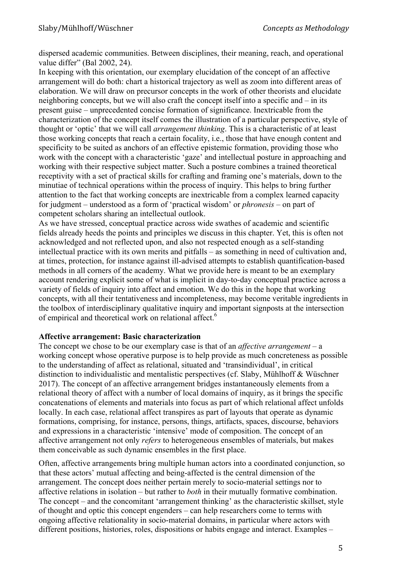dispersed academic communities. Between disciplines, their meaning, reach, and operational value differ" (Bal 2002, 24).

In keeping with this orientation, our exemplary elucidation of the concept of an affective arrangement will do both: chart a historical trajectory as well as zoom into different areas of elaboration. We will draw on precursor concepts in the work of other theorists and elucidate neighboring concepts, but we will also craft the concept itself into a specific and – in its present guise – unprecedented concise formation of significance. Inextricable from the characterization of the concept itself comes the illustration of a particular perspective, style of thought or 'optic' that we will call *arrangement thinking*. This is a characteristic of at least those working concepts that reach a certain focality, i.e., those that have enough content and specificity to be suited as anchors of an effective epistemic formation, providing those who work with the concept with a characteristic 'gaze' and intellectual posture in approaching and working with their respective subject matter. Such a posture combines a trained theoretical receptivity with a set of practical skills for crafting and framing one's materials, down to the minutiae of technical operations within the process of inquiry. This helps to bring further attention to the fact that working concepts are inextricable from a complex learned capacity for judgment – understood as a form of 'practical wisdom' or *phronesis* – on part of competent scholars sharing an intellectual outlook.

As we have stressed, conceptual practice across wide swathes of academic and scientific fields already heeds the points and principles we discuss in this chapter. Yet, this is often not acknowledged and not reflected upon, and also not respected enough as a self-standing intellectual practice with its own merits and pitfalls – as something in need of cultivation and, at times, protection, for instance against ill-advised attempts to establish quantification-based methods in all corners of the academy. What we provide here is meant to be an exemplary account rendering explicit some of what is implicit in day-to-day conceptual practice across a variety of fields of inquiry into affect and emotion. We do this in the hope that working concepts, with all their tentativeness and incompleteness, may become veritable ingredients in the toolbox of interdisciplinary qualitative inquiry and important signposts at the intersection of empirical and theoretical work on relational affect.<sup>6</sup>

#### **Affective arrangement: Basic characterization**

The concept we chose to be our exemplary case is that of an *affective arrangement* – a working concept whose operative purpose is to help provide as much concreteness as possible to the understanding of affect as relational, situated and 'transindividual', in critical distinction to individualistic and mentalistic perspectives (cf. Slaby, Mühlhoff & Wüschner 2017). The concept of an affective arrangement bridges instantaneously elements from a relational theory of affect with a number of local domains of inquiry, as it brings the specific concatenations of elements and materials into focus as part of which relational affect unfolds locally. In each case, relational affect transpires as part of layouts that operate as dynamic formations, comprising, for instance, persons, things, artifacts, spaces, discourse, behaviors and expressions in a characteristic 'intensive' mode of composition. The concept of an affective arrangement not only *refers* to heterogeneous ensembles of materials, but makes them conceivable as such dynamic ensembles in the first place.

Often, affective arrangements bring multiple human actors into a coordinated conjunction, so that these actors' mutual affecting and being-affected is the central dimension of the arrangement. The concept does neither pertain merely to socio-material settings nor to affective relations in isolation – but rather to *both* in their mutually formative combination. The concept – and the concomitant 'arrangement thinking' as the characteristic skillset, style of thought and optic this concept engenders – can help researchers come to terms with ongoing affective relationality in socio-material domains, in particular where actors with different positions, histories, roles, dispositions or habits engage and interact. Examples –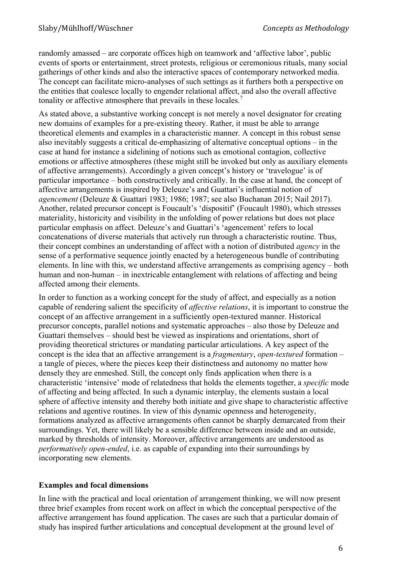randomly amassed – are corporate offices high on teamwork and 'affective labor', public events of sports or entertainment, street protests, religious or ceremonious rituals, many social gatherings of other kinds and also the interactive spaces of contemporary networked media. The concept can facilitate micro-analyses of such settings as it furthers both a perspective on the entities that coalesce locally to engender relational affect, and also the overall affective tonality or affective atmosphere that prevails in these locales.<sup>7</sup>

As stated above, a substantive working concept is not merely a novel designator for creating new domains of examples for a pre-existing theory. Rather, it must be able to arrange theoretical elements and examples in a characteristic manner. A concept in this robust sense also inevitably suggests a critical de-emphasizing of alternative conceptual options – in the case at hand for instance a sidelining of notions such as emotional contagion, collective emotions or affective atmospheres (these might still be invoked but only as auxiliary elements of affective arrangements). Accordingly a given concept's history or 'travelogue' is of particular importance – both constructively and critically. In the case at hand, the concept of affective arrangements is inspired by Deleuze's and Guattari's influential notion of *agencement* (Deleuze & Guattari 1983; 1986; 1987; see also Buchanan 2015; Nail 2017). Another, related precursor concept is Foucault's 'dispositif' (Foucault 1980), which stresses materiality, historicity and visibility in the unfolding of power relations but does not place particular emphasis on affect. Deleuze's and Guattari's 'agencement' refers to local concatenations of diverse materials that actively run through a characteristic routine. Thus, their concept combines an understanding of affect with a notion of distributed *agency* in the sense of a performative sequence jointly enacted by a heterogeneous bundle of contributing elements. In line with this, we understand affective arrangements as comprising agency – both human and non-human – in inextricable entanglement with relations of affecting and being affected among their elements.

In order to function as a working concept for the study of affect, and especially as a notion capable of rendering salient the specificity of *affective relations*, it is important to construe the concept of an affective arrangement in a sufficiently open-textured manner. Historical precursor concepts, parallel notions and systematic approaches – also those by Deleuze and Guattari themselves – should best be viewed as inspirations and orientations, short of providing theoretical strictures or mandating particular articulations. A key aspect of the concept is the idea that an affective arrangement is a *fragmentary*, *open-textured* formation – a tangle of pieces, where the pieces keep their distinctness and autonomy no matter how densely they are enmeshed. Still, the concept only finds application when there is a characteristic 'intensive' mode of relatedness that holds the elements together, a *specific* mode of affecting and being affected. In such a dynamic interplay, the elements sustain a local sphere of affective intensity and thereby both initiate and give shape to characteristic affective relations and agentive routines. In view of this dynamic openness and heterogeneity, formations analyzed as affective arrangements often cannot be sharply demarcated from their surroundings. Yet, there will likely be a sensible difference between inside and an outside, marked by thresholds of intensity. Moreover, affective arrangements are understood as *performatively open-ended*, i.e. as capable of expanding into their surroundings by incorporating new elements.

# **Examples and focal dimensions**

In line with the practical and local orientation of arrangement thinking, we will now present three brief examples from recent work on affect in which the conceptual perspective of the affective arrangement has found application. The cases are such that a particular domain of study has inspired further articulations and conceptual development at the ground level of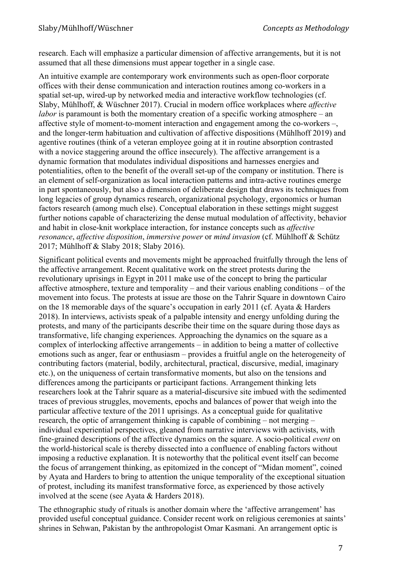research. Each will emphasize a particular dimension of affective arrangements, but it is not assumed that all these dimensions must appear together in a single case.

An intuitive example are contemporary work environments such as open-floor corporate offices with their dense communication and interaction routines among co-workers in a spatial set-up, wired-up by networked media and interactive workflow technologies (cf. Slaby, Mühlhoff, & Wüschner 2017). Crucial in modern office workplaces where *affective labor* is paramount is both the momentary creation of a specific working atmosphere – an affective style of moment-to-moment interaction and engagement among the co-workers –, and the longer-term habituation and cultivation of affective dispositions (Mühlhoff 2019) and agentive routines (think of a veteran employee going at it in routine absorption contrasted with a novice staggering around the office insecurely). The affective arrangement is a dynamic formation that modulates individual dispositions and harnesses energies and potentialities, often to the benefit of the overall set-up of the company or institution. There is an element of self-organization as local interaction patterns and intra-active routines emerge in part spontaneously, but also a dimension of deliberate design that draws its techniques from long legacies of group dynamics research, organizational psychology, ergonomics or human factors research (among much else). Conceptual elaboration in these settings might suggest further notions capable of characterizing the dense mutual modulation of affectivity, behavior and habit in close-knit workplace interaction, for instance concepts such as *affective resonance*, *affective disposition*, *immersive power* or *mind invasion* (cf. Mühlhoff & Schütz 2017; Mühlhoff & Slaby 2018; Slaby 2016).

Significant political events and movements might be approached fruitfully through the lens of the affective arrangement. Recent qualitative work on the street protests during the revolutionary uprisings in Egypt in 2011 make use of the concept to bring the particular affective atmosphere, texture and temporality – and their various enabling conditions – of the movement into focus. The protests at issue are those on the Tahrir Square in downtown Cairo on the 18 memorable days of the square's occupation in early 2011 (cf. Ayata & Harders 2018). In interviews, activists speak of a palpable intensity and energy unfolding during the protests, and many of the participants describe their time on the square during those days as transformative, life changing experiences. Approaching the dynamics on the square as a complex of interlocking affective arrangements – in addition to being a matter of collective emotions such as anger, fear or enthusiasm – provides a fruitful angle on the heterogeneity of contributing factors (material, bodily, architectural, practical, discursive, medial, imaginary etc.), on the uniqueness of certain transformative moments, but also on the tensions and differences among the participants or participant factions. Arrangement thinking lets researchers look at the Tahrir square as a material-discursive site imbued with the sedimented traces of previous struggles, movements, epochs and balances of power that weigh into the particular affective texture of the 2011 uprisings. As a conceptual guide for qualitative research, the optic of arrangement thinking is capable of combining – not merging – individual experiential perspectives, gleaned from narrative interviews with activists, with fine-grained descriptions of the affective dynamics on the square. A socio-political *event* on the world-historical scale is thereby dissected into a confluence of enabling factors without imposing a reductive explanation. It is noteworthy that the political event itself can become the focus of arrangement thinking, as epitomized in the concept of "Midan moment", coined by Ayata and Harders to bring to attention the unique temporality of the exceptional situation of protest, including its manifest transformative force, as experienced by those actively involved at the scene (see Ayata & Harders 2018).

The ethnographic study of rituals is another domain where the 'affective arrangement' has provided useful conceptual guidance. Consider recent work on religious ceremonies at saints' shrines in Sehwan, Pakistan by the anthropologist Omar Kasmani. An arrangement optic is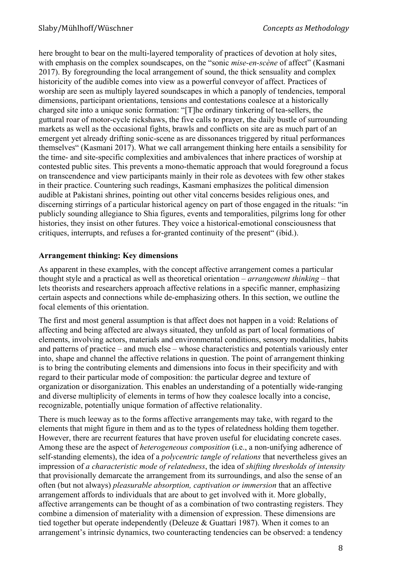here brought to bear on the multi-layered temporality of practices of devotion at holy sites, with emphasis on the complex soundscapes, on the "sonic *mise-en-scène* of affect" (Kasmani 2017). By foregrounding the local arrangement of sound, the thick sensuality and complex historicity of the audible comes into view as a powerful conveyor of affect. Practices of worship are seen as multiply layered soundscapes in which a panoply of tendencies, temporal dimensions, participant orientations, tensions and contestations coalesce at a historically charged site into a unique sonic formation: "[T]he ordinary tinkering of tea-sellers, the guttural roar of motor-cycle rickshaws, the five calls to prayer, the daily bustle of surrounding markets as well as the occasional fights, brawls and conflicts on site are as much part of an emergent yet already drifting sonic-scene as are dissonances triggered by ritual performances themselves" (Kasmani 2017). What we call arrangement thinking here entails a sensibility for the time- and site-specific complexities and ambivalences that inhere practices of worship at contested public sites. This prevents a mono-thematic approach that would foreground a focus on transcendence and view participants mainly in their role as devotees with few other stakes in their practice. Countering such readings, Kasmani emphasizes the political dimension audible at Pakistani shrines, pointing out other vital concerns besides religious ones, and discerning stirrings of a particular historical agency on part of those engaged in the rituals: "in publicly sounding allegiance to Shia figures, events and temporalities, pilgrims long for other histories, they insist on other futures. They voice a historical-emotional consciousness that critiques, interrupts, and refuses a for-granted continuity of the present" (ibid.).

# **Arrangement thinking: Key dimensions**

As apparent in these examples, with the concept affective arrangement comes a particular thought style and a practical as well as theoretical orientation – *arrangement thinking* – that lets theorists and researchers approach affective relations in a specific manner, emphasizing certain aspects and connections while de-emphasizing others. In this section, we outline the focal elements of this orientation.

The first and most general assumption is that affect does not happen in a void: Relations of affecting and being affected are always situated, they unfold as part of local formations of elements, involving actors, materials and environmental conditions, sensory modalities, habits and patterns of practice – and much else – whose characteristics and potentials variously enter into, shape and channel the affective relations in question. The point of arrangement thinking is to bring the contributing elements and dimensions into focus in their specificity and with regard to their particular mode of composition: the particular degree and texture of organization or disorganization. This enables an understanding of a potentially wide-ranging and diverse multiplicity of elements in terms of how they coalesce locally into a concise, recognizable, potentially unique formation of affective relationality.

There is much leeway as to the forms affective arrangements may take, with regard to the elements that might figure in them and as to the types of relatedness holding them together. However, there are recurrent features that have proven useful for elucidating concrete cases. Among these are the aspect of *heterogeneous composition* (i.e., a non-unifying adherence of self-standing elements), the idea of a *polycentric tangle of relations* that nevertheless gives an impression of *a characteristic mode of relatedness*, the idea of *shifting thresholds of intensity* that provisionally demarcate the arrangement from its surroundings, and also the sense of an often (but not always) *pleasurable absorption, captivation or immersion* that an affective arrangement affords to individuals that are about to get involved with it. More globally, affective arrangements can be thought of as a combination of two contrasting registers. They combine a dimension of materiality with a dimension of expression. These dimensions are tied together but operate independently (Deleuze & Guattari 1987). When it comes to an arrangement's intrinsic dynamics, two counteracting tendencies can be observed: a tendency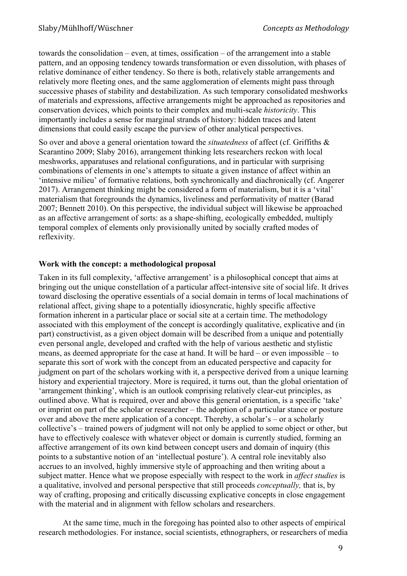towards the consolidation – even, at times, ossification – of the arrangement into a stable pattern, and an opposing tendency towards transformation or even dissolution, with phases of relative dominance of either tendency. So there is both, relatively stable arrangements and relatively more fleeting ones, and the same agglomeration of elements might pass through successive phases of stability and destabilization. As such temporary consolidated meshworks of materials and expressions, affective arrangements might be approached as repositories and conservation devices, which points to their complex and multi-scale *historicity*. This importantly includes a sense for marginal strands of history: hidden traces and latent dimensions that could easily escape the purview of other analytical perspectives.

So over and above a general orientation toward the *situatedness* of affect (cf. Griffiths & Scarantino 2009; Slaby 2016), arrangement thinking lets researchers reckon with local meshworks, apparatuses and relational configurations, and in particular with surprising combinations of elements in one's attempts to situate a given instance of affect within an 'intensive milieu' of formative relations, both synchronically and diachronically (cf. Angerer 2017). Arrangement thinking might be considered a form of materialism, but it is a 'vital' materialism that foregrounds the dynamics, liveliness and performativity of matter (Barad 2007; Bennett 2010). On this perspective, the individual subject will likewise be approached as an affective arrangement of sorts: as a shape-shifting, ecologically embedded, multiply temporal complex of elements only provisionally united by socially crafted modes of reflexivity.

# **Work with the concept: a methodological proposal**

Taken in its full complexity, 'affective arrangement' is a philosophical concept that aims at bringing out the unique constellation of a particular affect-intensive site of social life. It drives toward disclosing the operative essentials of a social domain in terms of local machinations of relational affect, giving shape to a potentially idiosyncratic, highly specific affective formation inherent in a particular place or social site at a certain time. The methodology associated with this employment of the concept is accordingly qualitative, explicative and (in part) constructivist, as a given object domain will be described from a unique and potentially even personal angle, developed and crafted with the help of various aesthetic and stylistic means, as deemed appropriate for the case at hand. It will be hard – or even impossible – to separate this sort of work with the concept from an educated perspective and capacity for judgment on part of the scholars working with it, a perspective derived from a unique learning history and experiential trajectory. More is required, it turns out, than the global orientation of 'arrangement thinking', which is an outlook comprising relatively clear-cut principles, as outlined above. What is required, over and above this general orientation, is a specific 'take' or imprint on part of the scholar or researcher – the adoption of a particular stance or posture over and above the mere application of a concept. Thereby, a scholar's – or a scholarly collective's – trained powers of judgment will not only be applied to some object or other, but have to effectively coalesce with whatever object or domain is currently studied, forming an affective arrangement of its own kind between concept users and domain of inquiry (this points to a substantive notion of an 'intellectual posture'). A central role inevitably also accrues to an involved, highly immersive style of approaching and then writing about a subject matter. Hence what we propose especially with respect to the work in *affect studies* is a qualitative, involved and personal perspective that still proceeds *conceptually,* that is, by way of crafting, proposing and critically discussing explicative concepts in close engagement with the material and in alignment with fellow scholars and researchers.

At the same time, much in the foregoing has pointed also to other aspects of empirical research methodologies. For instance, social scientists, ethnographers, or researchers of media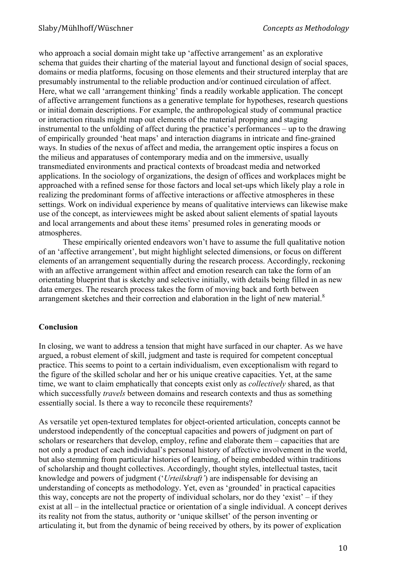who approach a social domain might take up 'affective arrangement' as an explorative schema that guides their charting of the material layout and functional design of social spaces, domains or media platforms, focusing on those elements and their structured interplay that are presumably instrumental to the reliable production and/or continued circulation of affect. Here, what we call 'arrangement thinking' finds a readily workable application. The concept of affective arrangement functions as a generative template for hypotheses, research questions or initial domain descriptions. For example, the anthropological study of communal practice or interaction rituals might map out elements of the material propping and staging instrumental to the unfolding of affect during the practice's performances – up to the drawing of empirically grounded 'heat maps' and interaction diagrams in intricate and fine-grained ways. In studies of the nexus of affect and media, the arrangement optic inspires a focus on the milieus and apparatuses of contemporary media and on the immersive, usually transmediated environments and practical contexts of broadcast media and networked applications. In the sociology of organizations, the design of offices and workplaces might be approached with a refined sense for those factors and local set-ups which likely play a role in realizing the predominant forms of affective interactions or affective atmospheres in these settings. Work on individual experience by means of qualitative interviews can likewise make use of the concept, as interviewees might be asked about salient elements of spatial layouts and local arrangements and about these items' presumed roles in generating moods or atmospheres.

These empirically oriented endeavors won't have to assume the full qualitative notion of an 'affective arrangement', but might highlight selected dimensions, or focus on different elements of an arrangement sequentially during the research process. Accordingly, reckoning with an affective arrangement within affect and emotion research can take the form of an orientating blueprint that is sketchy and selective initially, with details being filled in as new data emerges. The research process takes the form of moving back and forth between arrangement sketches and their correction and elaboration in the light of new material.<sup>8</sup>

# **Conclusion**

In closing, we want to address a tension that might have surfaced in our chapter. As we have argued, a robust element of skill, judgment and taste is required for competent conceptual practice. This seems to point to a certain individualism, even exceptionalism with regard to the figure of the skilled scholar and her or his unique creative capacities. Yet, at the same time, we want to claim emphatically that concepts exist only as *collectively* shared, as that which successfully *travels* between domains and research contexts and thus as something essentially social. Is there a way to reconcile these requirements?

As versatile yet open-textured templates for object-oriented articulation, concepts cannot be understood independently of the conceptual capacities and powers of judgment on part of scholars or researchers that develop, employ, refine and elaborate them – capacities that are not only a product of each individual's personal history of affective involvement in the world, but also stemming from particular histories of learning, of being embedded within traditions of scholarship and thought collectives. Accordingly, thought styles, intellectual tastes, tacit knowledge and powers of judgment ('*Urteilskraft'*) are indispensable for devising an understanding of concepts as methodology. Yet, even as 'grounded' in practical capacities this way, concepts are not the property of individual scholars, nor do they 'exist' – if they exist at all – in the intellectual practice or orientation of a single individual. A concept derives its reality not from the status, authority or 'unique skillset' of the person inventing or articulating it, but from the dynamic of being received by others, by its power of explication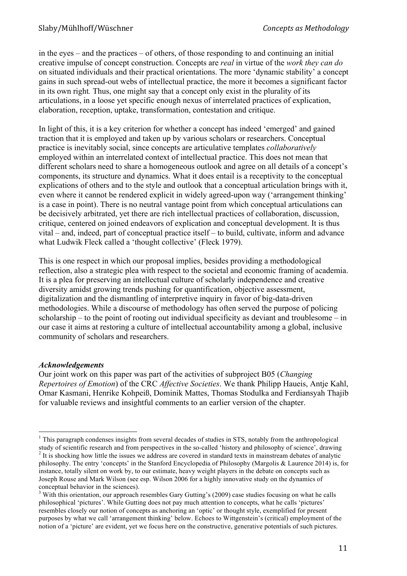in the eyes – and the practices – of others, of those responding to and continuing an initial creative impulse of concept construction. Concepts are *real* in virtue of the *work they can do*  on situated individuals and their practical orientations. The more 'dynamic stability' a concept gains in such spread-out webs of intellectual practice, the more it becomes a significant factor in its own right*.* Thus, one might say that a concept only exist in the plurality of its articulations, in a loose yet specific enough nexus of interrelated practices of explication, elaboration, reception, uptake, transformation, contestation and critique.

In light of this, it is a key criterion for whether a concept has indeed 'emerged' and gained traction that it is employed and taken up by various scholars or researchers. Conceptual practice is inevitably social, since concepts are articulative templates *collaboratively* employed within an interrelated context of intellectual practice. This does not mean that different scholars need to share a homogeneous outlook and agree on all details of a concept's components, its structure and dynamics. What it does entail is a receptivity to the conceptual explications of others and to the style and outlook that a conceptual articulation brings with it, even where it cannot be rendered explicit in widely agreed-upon way ('arrangement thinking' is a case in point). There is no neutral vantage point from which conceptual articulations can be decisively arbitrated, yet there are rich intellectual practices of collaboration, discussion, critique, centered on joined endeavors of explication and conceptual development. It is thus vital – and, indeed, part of conceptual practice itself – to build, cultivate, inform and advance what Ludwik Fleck called a 'thought collective' (Fleck 1979).

This is one respect in which our proposal implies, besides providing a methodological reflection, also a strategic plea with respect to the societal and economic framing of academia. It is a plea for preserving an intellectual culture of scholarly independence and creative diversity amidst growing trends pushing for quantification, objective assessment, digitalization and the dismantling of interpretive inquiry in favor of big-data-driven methodologies. While a discourse of methodology has often served the purpose of policing scholarship – to the point of rooting out individual specificity as deviant and troublesome – in our case it aims at restoring a culture of intellectual accountability among a global, inclusive community of scholars and researchers.

#### *Acknowledgements*

Our joint work on this paper was part of the activities of subproject B05 (*Changing Repertoires of Emotion*) of the CRC *Affective Societies*. We thank Philipp Haueis, Antje Kahl, Omar Kasmani, Henrike Kohpeiß, Dominik Mattes, Thomas Stodulka and Ferdiansyah Thajib for valuable reviews and insightful comments to an earlier version of the chapter.

<sup>&</sup>lt;sup>1</sup> This paragraph condenses insights from several decades of studies in STS, notably from the anthropological study of scientific research and from perspectives in the so-called 'history and philosophy of science', drawing<br><sup>2</sup> It is shocking how little the issues we address are covered in standard texts in mainstream debates of an

philosophy. The entry 'concepts' in the Stanford Encyclopedia of Philosophy (Margolis & Laurence 2014) is, for instance, totally silent on work by, to our estimate, heavy weight players in the debate on concepts such as Joseph Rouse and Mark Wilson (see esp. Wilson 2006 for a highly innovative study on the dynamics of conceptual behavior in the sciences).

<sup>&</sup>lt;sup>3</sup> With this orientation, our approach resembles Gary Gutting's (2009) case studies focusing on what he calls philosophical 'pictures'. While Gutting does not pay much attention to concepts, what he calls 'pictures' resembles closely our notion of concepts as anchoring an 'optic' or thought style, exemplified for present purposes by what we call 'arrangement thinking' below. Echoes to Wittgenstein's (critical) employment of the notion of a 'picture' are evident, yet we focus here on the constructive, generative potentials of such pictures.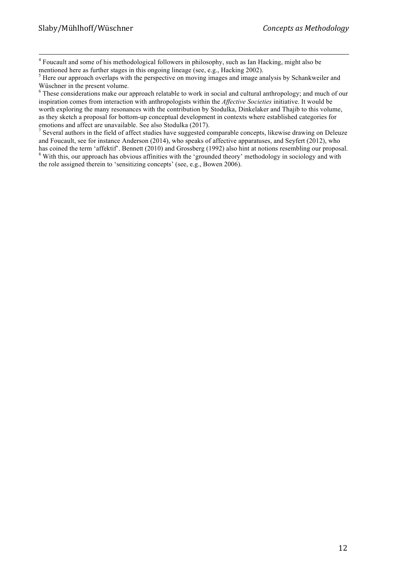<sup>4</sup> Foucault and some of his methodological followers in philosophy, such as Ian Hacking, might also be mentioned here as further stages in this ongoing lineage (see, e.g., Hacking 2002).<br><sup>5</sup> Here our approach overlaps with the perspective on moving images and image analysis by Schankweiler and

Wüschner in the present volume.

<sup>6</sup> These considerations make our approach relatable to work in social and cultural anthropology; and much of our inspiration comes from interaction with anthropologists within the *Affective Societies* initiative. It would be worth exploring the many resonances with the contribution by Stodulka, Dinkelaker and Thajib to this volume, as they sketch a proposal for bottom-up conceptual development in contexts where established categories for emotions and affect are unavailable. See also Stodulka (2017).

<sup>7</sup> Several authors in the field of affect studies have suggested comparable concepts, likewise drawing on Deleuze and Foucault, see for instance Anderson (2014), who speaks of affective apparatuses, and Seyfert (2012), who has coined the term 'affektif'. Bennett (2010) and Grossberg (1992) also hint at notions resembling our proposal.

<sup>8</sup> With this, our approach has obvious affinities with the 'grounded theory' methodology in sociology and with the role assigned therein to 'sensitizing concepts' (see, e.g., Bowen 2006).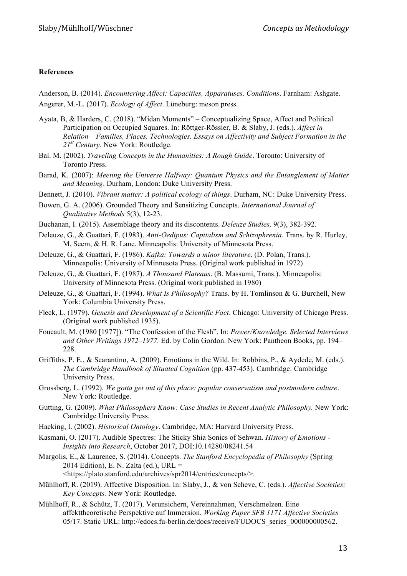#### **References**

Anderson, B. (2014). *Encountering Affect: Capacities, Apparatuses, Conditions*. Farnham: Ashgate. Angerer, M.-L. (2017). *Ecology of Affect*. Lüneburg: meson press.

- Ayata, B, & Harders, C. (2018). "Midan Moments" Conceptualizing Space, Affect and Political Participation on Occupied Squares. In: Röttger-Rössler, B. & Slaby, J. (eds.). *Affect in Relation – Families, Places, Technologies. Essays on Affectivity and Subject Formation in the 21st Century.* New York: Routledge.
- Bal. M. (2002). *Traveling Concepts in the Humanities: A Rough Guide*. Toronto: University of Toronto Press.
- Barad, K. (2007): *Meeting the Universe Halfway: Quantum Physics and the Entanglement of Matter and Meaning*. Durham, London: Duke University Press.
- Bennett, J. (2010). *Vibrant matter: A political ecology of things*. Durham, NC: Duke University Press.
- Bowen, G. A. (2006). Grounded Theory and Sensitizing Concepts. *International Journal of Qualitative Methods* 5(3), 12-23.
- Buchanan, I. (2015). Assemblage theory and its discontents. *Deleuze Studies,* 9(3), 382-392.
- Deleuze, G., & Guattari, F. (1983). *Anti-Oedipus: Capitalism and Schizophrenia*. Trans. by R. Hurley, M. Seem, & H. R. Lane. Minneapolis: University of Minnesota Press.
- Deleuze, G., & Guattari, F. (1986). *Kafka: Towards a minor literature*. (D. Polan, Trans.). Minneapolis: University of Minnesota Press. (Original work published in 1972)
- Deleuze, G., & Guattari, F. (1987). *A Thousand Plateaus*. (B. Massumi, Trans.). Minneapolis: University of Minnesota Press. (Original work published in 1980)
- Deleuze, G., & Guattari, F. (1994). *What Is Philosophy?* Trans. by H. Tomlinson & G. Burchell, New York: Columbia University Press.
- Fleck, L. (1979). *Genesis and Development of a Scientific Fact*. Chicago: University of Chicago Press. (Original work published 1935).
- Foucault, M. (1980 [1977]). "The Confession of the Flesh". In: *Power/Knowledge. Selected Interviews and Other Writings 1972–1977.* Ed. by Colin Gordon. New York: Pantheon Books, pp. 194– 228.
- Griffiths, P. E., & Scarantino, A. (2009). Emotions in the Wild. In: Robbins, P., & Aydede, M. (eds.). *The Cambridge Handbook of Situated Cognition* (pp. 437-453). Cambridge: Cambridge University Press.
- Grossberg, L. (1992). *We gotta get out of this place: popular conservatism and postmodern culture*. New York: Routledge.
- Gutting, G. (2009). *What Philosophers Know: Case Studies in Recent Analytic Philosophy.* New York: Cambridge University Press.
- Hacking, I. (2002). *Historical Ontology*. Cambridge, MA: Harvard University Press.
- Kasmani, O. (2017). Audible Spectres: The Sticky Shia Sonics of Sehwan. *History of Emotions - Insights into Research*, October 2017, DOI:10.14280/08241.54
- Margolis, E., & Laurence, S. (2014). Concepts. *The Stanford Encyclopedia of Philosophy* (Spring 2014 Edition), E. N. Zalta (ed.), URL = <https://plato.stanford.edu/archives/spr2014/entries/concepts/>.
- Mühlhoff, R. (2019). Affective Disposition. In: Slaby, J., & von Scheve, C. (eds.). *Affective Societies: Key Concepts.* New York: Routledge.
- Mühlhoff, R., & Schütz, T. (2017). Verunsichern, Vereinnahmen, Verschmelzen. Eine affekttheoretische Perspektive auf Immersion. *Working Paper SFB 1171 Affective Societies*  05/17. Static URL: http://edocs.fu-berlin.de/docs/receive/FUDOCS\_series\_000000000562.